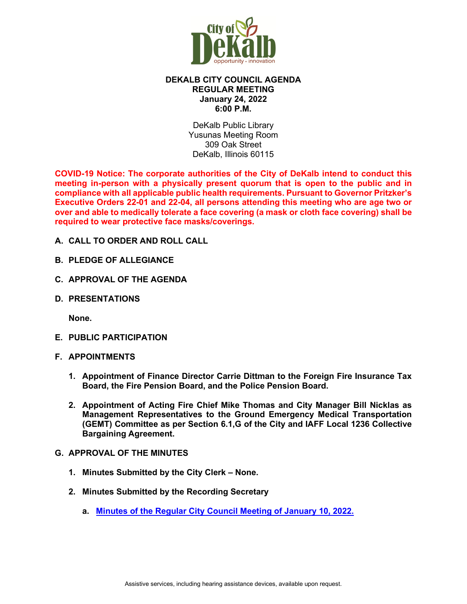

# **DEKALB CITY COUNCIL AGENDA REGULAR MEETING January 24, 2022 6:00 P.M.**

DeKalb Public Library Yusunas Meeting Room 309 Oak Street DeKalb, Illinois 60115

**COVID-19 Notice: The corporate authorities of the City of DeKalb intend to conduct this meeting in-person with a physically present quorum that is open to the public and in compliance with all applicable public health requirements. Pursuant to Governor Pritzker's Executive Orders 22-01 and 22-04, all persons attending this meeting who are age two or over and able to medically tolerate a face covering (a mask or cloth face covering) shall be required to wear protective face masks/coverings.**

- **A. CALL TO ORDER AND ROLL CALL**
- **B. PLEDGE OF ALLEGIANCE**
- **C. APPROVAL OF THE AGENDA**
- **D. PRESENTATIONS**

**None.** 

- **E. PUBLIC PARTICIPATION**
- **F. APPOINTMENTS**
	- **1. Appointment of Finance Director Carrie Dittman to the Foreign Fire Insurance Tax Board, the Fire Pension Board, and the Police Pension Board.**
	- **2. Appointment of Acting Fire Chief Mike Thomas and City Manager Bill Nicklas as Management Representatives to the Ground Emergency Medical Transportation (GEMT) Committee as per Section 6.1,G of the City and IAFF Local 1236 Collective Bargaining Agreement.**
- **G. APPROVAL OF THE MINUTES**
	- **1. Minutes Submitted by the City Clerk – None.**
	- **2. Minutes Submitted by the Recording Secretary**
		- **a. [Minutes of the Regular City Council Meeting of January 10, 2022.](https://www.cityofdekalb.com/DocumentCenter/View/13488/2-011022-Regular-Minutes-FINAL)**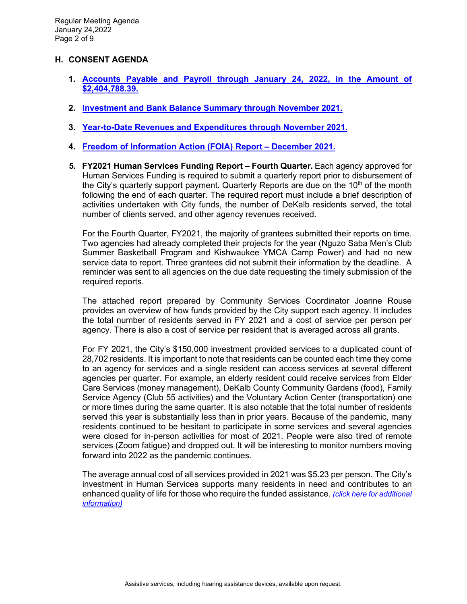## **H. CONSENT AGENDA**

- **1. [Accounts Payable and Payroll through January 24, 2022, in the Amount of](https://www.cityofdekalb.com/DocumentCenter/View/13489/3-APP-012422)  [\\$2,404,788.39.](https://www.cityofdekalb.com/DocumentCenter/View/13489/3-APP-012422)**
- **2. [Investment and Bank Balance Summary through November 2021.](https://www.cityofdekalb.com/DocumentCenter/View/13490/4-IBB-Nov-2021)**
- **3. [Year-to-Date Revenues and Expenditures through November](https://www.cityofdekalb.com/DocumentCenter/View/13491/5-YTD-Rev-Exp-2021) 2021.**
- **4. [Freedom of Information Action \(FOIA\) Report –](https://www.cityofdekalb.com/DocumentCenter/View/13492/6-FOIA-Rpt-Dec-2021) December 2021.**
- **5. FY2021 Human Services Funding Report – Fourth Quarter.** Each agency approved for Human Services Funding is required to submit a quarterly report prior to disbursement of the City's quarterly support payment. Quarterly Reports are due on the  $10<sup>th</sup>$  of the month following the end of each quarter. The required report must include a brief description of activities undertaken with City funds, the number of DeKalb residents served, the total number of clients served, and other agency revenues received.

For the Fourth Quarter, FY2021, the majority of grantees submitted their reports on time. Two agencies had already completed their projects for the year (Nguzo Saba Men's Club Summer Basketball Program and Kishwaukee YMCA Camp Power) and had no new service data to report. Three grantees did not submit their information by the deadline. A reminder was sent to all agencies on the due date requesting the timely submission of the required reports.

The attached report prepared by Community Services Coordinator Joanne Rouse provides an overview of how funds provided by the City support each agency. It includes the total number of residents served in FY 2021 and a cost of service per person per agency. There is also a cost of service per resident that is averaged across all grants.

For FY 2021, the City's \$150,000 investment provided services to a duplicated count of 28,702 residents. It is important to note that residents can be counted each time they come to an agency for services and a single resident can access services at several different agencies per quarter. For example, an elderly resident could receive services from Elder Care Services (money management), DeKalb County Community Gardens (food), Family Service Agency (Club 55 activities) and the Voluntary Action Center (transportation) one or more times during the same quarter. It is also notable that the total number of residents served this year is substantially less than in prior years. Because of the pandemic, many residents continued to be hesitant to participate in some services and several agencies were closed for in-person activities for most of 2021. People were also tired of remote services (Zoom fatigue) and dropped out. It will be interesting to monitor numbers moving forward into 2022 as the pandemic continues.

The average annual cost of all services provided in 2021 was \$5.23 per person. The City's investment in Human Services supports many residents in need and contributes to an enhanced quality of life for those who require the funded assistance. *[\(click here for additional](https://www.cityofdekalb.com/DocumentCenter/View/13493/7-HSF-Rpt-FY21-4th-Qtr)  [information\)](https://www.cityofdekalb.com/DocumentCenter/View/13493/7-HSF-Rpt-FY21-4th-Qtr)*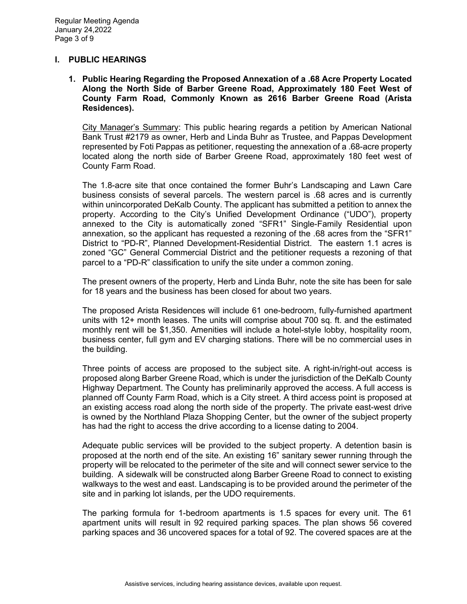#### **I. PUBLIC HEARINGS**

#### **1. Public Hearing Regarding the Proposed Annexation of a .68 Acre Property Located Along the North Side of Barber Greene Road, Approximately 180 Feet West of County Farm Road, Commonly Known as 2616 Barber Greene Road (Arista Residences).**

City Manager's Summary: This public hearing regards a petition by American National Bank Trust #2179 as owner, Herb and Linda Buhr as Trustee, and Pappas Development represented by Foti Pappas as petitioner, requesting the annexation of a .68-acre property located along the north side of Barber Greene Road, approximately 180 feet west of County Farm Road.

The 1.8-acre site that once contained the former Buhr's Landscaping and Lawn Care business consists of several parcels. The western parcel is .68 acres and is currently within unincorporated DeKalb County. The applicant has submitted a petition to annex the property. According to the City's Unified Development Ordinance ("UDO"), property annexed to the City is automatically zoned "SFR1" Single-Family Residential upon annexation, so the applicant has requested a rezoning of the .68 acres from the "SFR1" District to "PD-R", Planned Development-Residential District. The eastern 1.1 acres is zoned "GC" General Commercial District and the petitioner requests a rezoning of that parcel to a "PD-R" classification to unify the site under a common zoning.

The present owners of the property, Herb and Linda Buhr, note the site has been for sale for 18 years and the business has been closed for about two years.

The proposed Arista Residences will include 61 one-bedroom, fully-furnished apartment units with 12+ month leases. The units will comprise about 700 sq. ft. and the estimated monthly rent will be \$1,350. Amenities will include a hotel-style lobby, hospitality room, business center, full gym and EV charging stations. There will be no commercial uses in the building.

Three points of access are proposed to the subject site. A right-in/right-out access is proposed along Barber Greene Road, which is under the jurisdiction of the DeKalb County Highway Department. The County has preliminarily approved the access. A full access is planned off County Farm Road, which is a City street. A third access point is proposed at an existing access road along the north side of the property. The private east-west drive is owned by the Northland Plaza Shopping Center, but the owner of the subject property has had the right to access the drive according to a license dating to 2004.

Adequate public services will be provided to the subject property. A detention basin is proposed at the north end of the site. An existing 16" sanitary sewer running through the property will be relocated to the perimeter of the site and will connect sewer service to the building. A sidewalk will be constructed along Barber Greene Road to connect to existing walkways to the west and east. Landscaping is to be provided around the perimeter of the site and in parking lot islands, per the UDO requirements.

The parking formula for 1-bedroom apartments is 1.5 spaces for every unit. The 61 apartment units will result in 92 required parking spaces. The plan shows 56 covered parking spaces and 36 uncovered spaces for a total of 92. The covered spaces are at the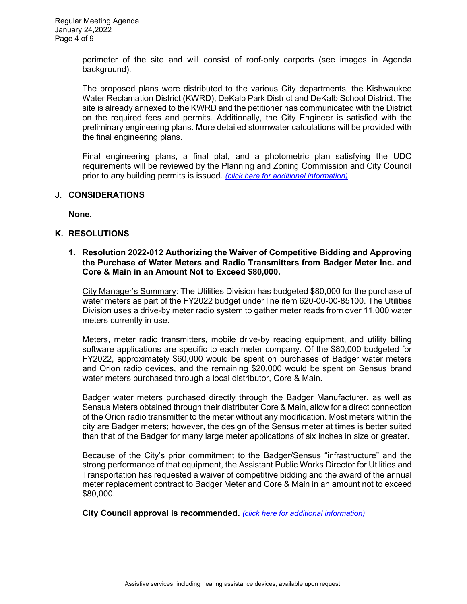perimeter of the site and will consist of roof-only carports (see images in Agenda background).

The proposed plans were distributed to the various City departments, the Kishwaukee Water Reclamation District (KWRD), DeKalb Park District and DeKalb School District. The site is already annexed to the KWRD and the petitioner has communicated with the District on the required fees and permits. Additionally, the City Engineer is satisfied with the preliminary engineering plans. More detailed stormwater calculations will be provided with the final engineering plans.

Final engineering plans, a final plat, and a photometric plan satisfying the UDO requirements will be reviewed by the Planning and Zoning Commission and City Council prior to any building permits is issued. *[\(click here for additional information\)](https://www.cityofdekalb.com/DocumentCenter/View/13494/8-PH---Arista-Residences)* 

## **J. CONSIDERATIONS**

**None.**

## **K. RESOLUTIONS**

### **1. Resolution 2022-012 Authorizing the Waiver of Competitive Bidding and Approving the Purchase of Water Meters and Radio Transmitters from Badger Meter Inc. and Core & Main in an Amount Not to Exceed \$80,000.**

City Manager's Summary: The Utilities Division has budgeted \$80,000 for the purchase of water meters as part of the FY2022 budget under line item 620-00-00-85100. The Utilities Division uses a drive-by meter radio system to gather meter reads from over 11,000 water meters currently in use.

Meters, meter radio transmitters, mobile drive-by reading equipment, and utility billing software applications are specific to each meter company. Of the \$80,000 budgeted for FY2022, approximately \$60,000 would be spent on purchases of Badger water meters and Orion radio devices, and the remaining \$20,000 would be spent on Sensus brand water meters purchased through a local distributor, Core & Main.

Badger water meters purchased directly through the Badger Manufacturer, as well as Sensus Meters obtained through their distributer Core & Main, allow for a direct connection of the Orion radio transmitter to the meter without any modification. Most meters within the city are Badger meters; however, the design of the Sensus meter at times is better suited than that of the Badger for many large meter applications of six inches in size or greater.

Because of the City's prior commitment to the Badger/Sensus "infrastructure" and the strong performance of that equipment, the Assistant Public Works Director for Utilities and Transportation has requested a waiver of competitive bidding and the award of the annual meter replacement contract to Badger Meter and Core & Main in an amount not to exceed \$80,000.

**City Council approval is recommended.** *[\(click here for additional information\)](https://www.cityofdekalb.com/DocumentCenter/View/13495/9-Res-2022-012)*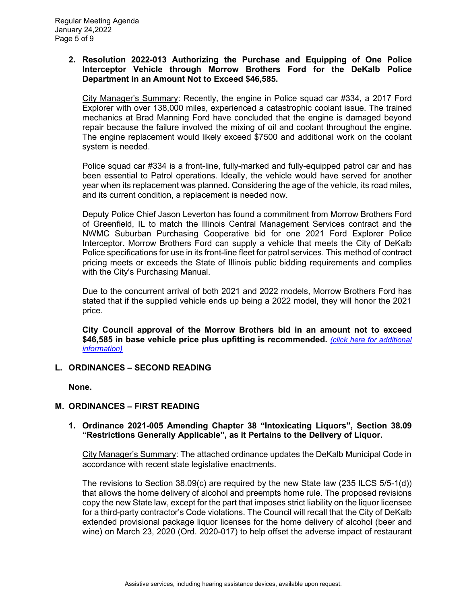## **2. Resolution 2022-013 Authorizing the Purchase and Equipping of One Police Interceptor Vehicle through Morrow Brothers Ford for the DeKalb Police Department in an Amount Not to Exceed \$46,585.**

City Manager's Summary: Recently, the engine in Police squad car #334, a 2017 Ford Explorer with over 138,000 miles, experienced a catastrophic coolant issue. The trained mechanics at Brad Manning Ford have concluded that the engine is damaged beyond repair because the failure involved the mixing of oil and coolant throughout the engine. The engine replacement would likely exceed \$7500 and additional work on the coolant system is needed.

Police squad car #334 is a front-line, fully-marked and fully-equipped patrol car and has been essential to Patrol operations. Ideally, the vehicle would have served for another year when its replacement was planned. Considering the age of the vehicle, its road miles, and its current condition, a replacement is needed now.

Deputy Police Chief Jason Leverton has found a commitment from Morrow Brothers Ford of Greenfield, IL to match the Illinois Central Management Services contract and the NWMC Suburban Purchasing Cooperative bid for one 2021 Ford Explorer Police Interceptor. Morrow Brothers Ford can supply a vehicle that meets the City of DeKalb Police specifications for use in its front-line fleet for patrol services. This method of contract pricing meets or exceeds the State of Illinois public bidding requirements and complies with the City's Purchasing Manual.

Due to the concurrent arrival of both 2021 and 2022 models, Morrow Brothers Ford has stated that if the supplied vehicle ends up being a 2022 model, they will honor the 2021 price.

**City Council approval of the Morrow Brothers bid in an amount not to exceed \$46,585 in base vehicle price plus upfitting is recommended.** *[\(click here for additional](https://www.cityofdekalb.com/DocumentCenter/View/13496/10-Res-2022-013)  [information\)](https://www.cityofdekalb.com/DocumentCenter/View/13496/10-Res-2022-013)*

# **L. ORDINANCES – SECOND READING**

**None.** 

# **M. ORDINANCES – FIRST READING**

## **1. Ordinance 2021-005 Amending Chapter 38 "Intoxicating Liquors", Section 38.09 "Restrictions Generally Applicable", as it Pertains to the Delivery of Liquor.**

City Manager's Summary: The attached ordinance updates the DeKalb Municipal Code in accordance with recent state legislative enactments.

The revisions to Section 38.09(c) are required by the new State law (235 ILCS 5/5-1(d)) that allows the home delivery of alcohol and preempts home rule. The proposed revisions copy the new State law, except for the part that imposes strict liability on the liquor licensee for a third-party contractor's Code violations. The Council will recall that the City of DeKalb extended provisional package liquor licenses for the home delivery of alcohol (beer and wine) on March 23, 2020 (Ord. 2020-017) to help offset the adverse impact of restaurant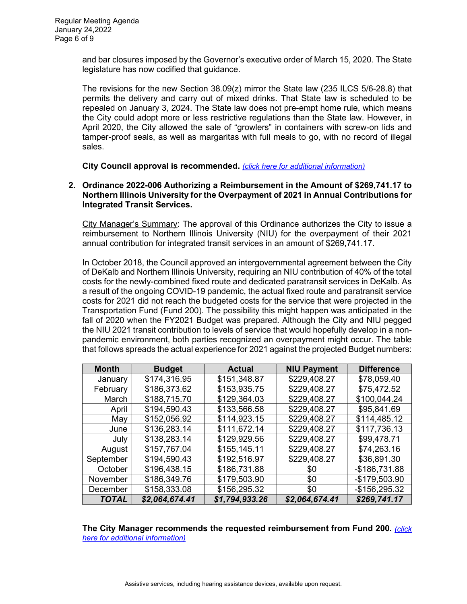and bar closures imposed by the Governor's executive order of March 15, 2020. The State legislature has now codified that guidance.

The revisions for the new Section 38.09(z) mirror the State law (235 ILCS 5/6-28.8) that permits the delivery and carry out of mixed drinks. That State law is scheduled to be repealed on January 3, 2024. The State law does not pre-empt home rule, which means the City could adopt more or less restrictive regulations than the State law. However, in April 2020, the City allowed the sale of "growlers" in containers with screw-on lids and tamper-proof seals, as well as margaritas with full meals to go, with no record of illegal sales.

**City Council approval is recommended.** *[\(click here for additional information\)](https://www.cityofdekalb.com/DocumentCenter/View/13497/11-Ord-2022-005)*

## **2. Ordinance 2022-006 Authorizing a Reimbursement in the Amount of \$269,741.17 to Northern Illinois University for the Overpayment of 2021 in Annual Contributions for Integrated Transit Services.**

City Manager's Summary: The approval of this Ordinance authorizes the City to issue a reimbursement to Northern Illinois University (NIU) for the overpayment of their 2021 annual contribution for integrated transit services in an amount of \$269,741.17.

In October 2018, the Council approved an intergovernmental agreement between the City of DeKalb and Northern Illinois University, requiring an NIU contribution of 40% of the total costs for the newly-combined fixed route and dedicated paratransit services in DeKalb. As a result of the ongoing COVID-19 pandemic, the actual fixed route and paratransit service costs for 2021 did not reach the budgeted costs for the service that were projected in the Transportation Fund (Fund 200). The possibility this might happen was anticipated in the fall of 2020 when the FY2021 Budget was prepared. Although the City and NIU pegged the NIU 2021 transit contribution to levels of service that would hopefully develop in a nonpandemic environment, both parties recognized an overpayment might occur. The table that follows spreads the actual experience for 2021 against the projected Budget numbers:

| <b>Month</b> | <b>Budget</b>  | <b>Actual</b>  | <b>NIU Payment</b> | <b>Difference</b> |
|--------------|----------------|----------------|--------------------|-------------------|
| January      | \$174,316.95   | \$151,348.87   | \$229,408.27       | \$78,059.40       |
| February     | \$186,373.62   | \$153,935.75   | \$229,408.27       | \$75,472.52       |
| March        | \$188,715.70   | \$129,364.03   | \$229,408.27       | \$100,044.24      |
| April        | \$194,590.43   | \$133,566.58   | \$229,408.27       | \$95,841.69       |
| May          | \$152,056.92   | \$114,923.15   | \$229,408.27       | \$114,485.12      |
| June         | \$136,283.14   | \$111,672.14   | \$229,408.27       | \$117,736.13      |
| July         | \$138,283.14   | \$129,929.56   | \$229,408.27       | \$99,478.71       |
| August       | \$157,767.04   | \$155,145.11   | \$229,408.27       | \$74,263.16       |
| September    | \$194,590.43   | \$192,516.97   | \$229,408.27       | \$36,891.30       |
| October      | \$196,438.15   | \$186,731.88   | \$0                | -\$186,731.88     |
| November     | \$186,349.76   | \$179,503.90   | \$0                | -\$179,503.90     |
| December     | \$158,333.08   | \$156,295.32   | \$0                | -\$156,295.32     |
| <b>TOTAL</b> | \$2,064,674.41 | \$1,794,933.26 | \$2,064,674.41     | \$269,741.17      |

**The City Manager recommends the requested reimbursement from Fund 200.** *[\(click](https://www.cityofdekalb.com/DocumentCenter/View/13498/12-Ord-2022-006)  [here for additional information\)](https://www.cityofdekalb.com/DocumentCenter/View/13498/12-Ord-2022-006)*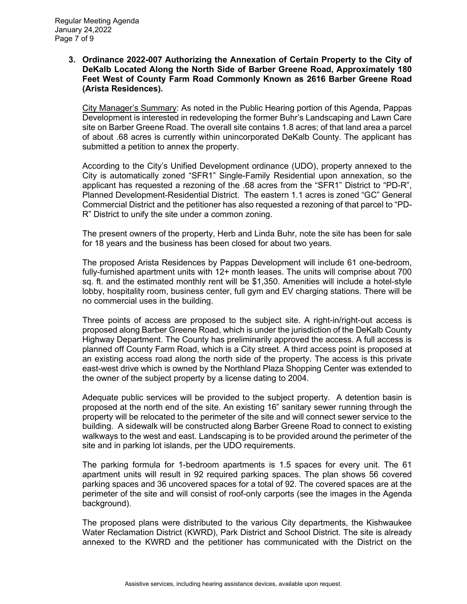### **3. Ordinance 2022-007 Authorizing the Annexation of Certain Property to the City of DeKalb Located Along the North Side of Barber Greene Road, Approximately 180 Feet West of County Farm Road Commonly Known as 2616 Barber Greene Road (Arista Residences).**

City Manager's Summary: As noted in the Public Hearing portion of this Agenda, Pappas Development is interested in redeveloping the former Buhr's Landscaping and Lawn Care site on Barber Greene Road. The overall site contains 1.8 acres; of that land area a parcel of about .68 acres is currently within unincorporated DeKalb County. The applicant has submitted a petition to annex the property.

According to the City's Unified Development ordinance (UDO), property annexed to the City is automatically zoned "SFR1" Single-Family Residential upon annexation, so the applicant has requested a rezoning of the .68 acres from the "SFR1" District to "PD-R", Planned Development-Residential District. The eastern 1.1 acres is zoned "GC" General Commercial District and the petitioner has also requested a rezoning of that parcel to "PD-R" District to unify the site under a common zoning.

The present owners of the property, Herb and Linda Buhr, note the site has been for sale for 18 years and the business has been closed for about two years.

The proposed Arista Residences by Pappas Development will include 61 one-bedroom, fully-furnished apartment units with 12+ month leases. The units will comprise about 700 sq. ft. and the estimated monthly rent will be \$1,350. Amenities will include a hotel-style lobby, hospitality room, business center, full gym and EV charging stations. There will be no commercial uses in the building.

Three points of access are proposed to the subject site. A right-in/right-out access is proposed along Barber Greene Road, which is under the jurisdiction of the DeKalb County Highway Department. The County has preliminarily approved the access. A full access is planned off County Farm Road, which is a City street. A third access point is proposed at an existing access road along the north side of the property. The access is this private east-west drive which is owned by the Northland Plaza Shopping Center was extended to the owner of the subject property by a license dating to 2004.

Adequate public services will be provided to the subject property. A detention basin is proposed at the north end of the site. An existing 16" sanitary sewer running through the property will be relocated to the perimeter of the site and will connect sewer service to the building. A sidewalk will be constructed along Barber Greene Road to connect to existing walkways to the west and east. Landscaping is to be provided around the perimeter of the site and in parking lot islands, per the UDO requirements.

The parking formula for 1-bedroom apartments is 1.5 spaces for every unit. The 61 apartment units will result in 92 required parking spaces. The plan shows 56 covered parking spaces and 36 uncovered spaces for a total of 92. The covered spaces are at the perimeter of the site and will consist of roof-only carports (see the images in the Agenda background).

The proposed plans were distributed to the various City departments, the Kishwaukee Water Reclamation District (KWRD), Park District and School District. The site is already annexed to the KWRD and the petitioner has communicated with the District on the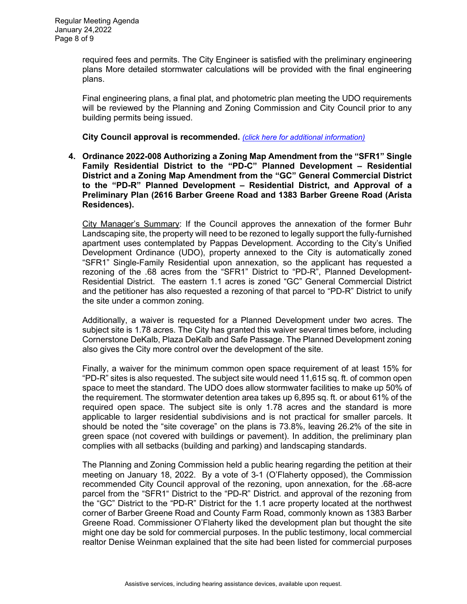required fees and permits. The City Engineer is satisfied with the preliminary engineering plans More detailed stormwater calculations will be provided with the final engineering plans.

Final engineering plans, a final plat, and photometric plan meeting the UDO requirements will be reviewed by the Planning and Zoning Commission and City Council prior to any building permits being issued.

#### **City Council approval is recommended.** *[\(click here for additional information\)](https://www.cityofdekalb.com/DocumentCenter/View/13499/13-Ord-2022-007)*

**4. Ordinance 2022-008 Authorizing a Zoning Map Amendment from the "SFR1" Single Family Residential District to the "PD-C" Planned Development – Residential District and a Zoning Map Amendment from the "GC" General Commercial District to the "PD-R" Planned Development – Residential District, and Approval of a Preliminary Plan (2616 Barber Greene Road and 1383 Barber Greene Road (Arista Residences).** 

City Manager's Summary: If the Council approves the annexation of the former Buhr Landscaping site, the property will need to be rezoned to legally support the fully-furnished apartment uses contemplated by Pappas Development. According to the City's Unified Development Ordinance (UDO), property annexed to the City is automatically zoned "SFR1" Single-Family Residential upon annexation, so the applicant has requested a rezoning of the .68 acres from the "SFR1" District to "PD-R", Planned Development-Residential District. The eastern 1.1 acres is zoned "GC" General Commercial District and the petitioner has also requested a rezoning of that parcel to "PD-R" District to unify the site under a common zoning.

Additionally, a waiver is requested for a Planned Development under two acres. The subject site is 1.78 acres. The City has granted this waiver several times before, including Cornerstone DeKalb, Plaza DeKalb and Safe Passage. The Planned Development zoning also gives the City more control over the development of the site.

Finally, a waiver for the minimum common open space requirement of at least 15% for "PD-R" sites is also requested. The subject site would need 11,615 sq. ft. of common open space to meet the standard. The UDO does allow stormwater facilities to make up 50% of the requirement. The stormwater detention area takes up 6,895 sq. ft. or about 61% of the required open space. The subject site is only 1.78 acres and the standard is more applicable to larger residential subdivisions and is not practical for smaller parcels. It should be noted the "site coverage" on the plans is 73.8%, leaving 26.2% of the site in green space (not covered with buildings or pavement). In addition, the preliminary plan complies with all setbacks (building and parking) and landscaping standards.

The Planning and Zoning Commission held a public hearing regarding the petition at their meeting on January 18, 2022. By a vote of 3-1 (O'Flaherty opposed), the Commission recommended City Council approval of the rezoning, upon annexation, for the .68-acre parcel from the "SFR1" District to the "PD-R" District. and approval of the rezoning from the "GC" District to the "PD-R" District for the 1.1 acre property located at the northwest corner of Barber Greene Road and County Farm Road, commonly known as 1383 Barber Greene Road. Commissioner O'Flaherty liked the development plan but thought the site might one day be sold for commercial purposes. In the public testimony, local commercial realtor Denise Weinman explained that the site had been listed for commercial purposes